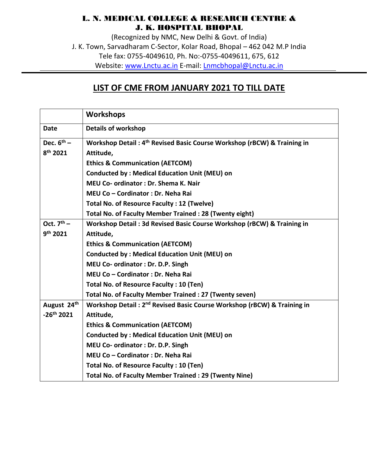## L. N. MEDICAL COLLEGE & RESEARCH CENTRE & J. K. HOSPITAL BHOPAL

(Recognized by NMC, New Delhi & Govt. of India) J. K. Town, Sarvadharam C-Sector, Kolar Road, Bhopal – 462 042 M.P India Tele fax: 0755-4049610, Ph. No:-0755-4049611, 675, 612 Website: [www.Lnctu.ac.in](http://www.lnctu.ac.in/) E-mail: [Lnmcbhopal@Lnctu.ac.in](mailto:Lnmcbhopal@Lnctu.ac.in)

## **LIST OF CME FROM JANUARY 2021 TO TILL DATE**

|                         | <b>Workshops</b>                                                                    |  |  |  |  |  |
|-------------------------|-------------------------------------------------------------------------------------|--|--|--|--|--|
| <b>Date</b>             | <b>Details of workshop</b>                                                          |  |  |  |  |  |
| Dec. $6^{th}$ –         | Workshop Detail: 4 <sup>th</sup> Revised Basic Course Workshop (rBCW) & Training in |  |  |  |  |  |
| 8 <sup>th</sup> 2021    | Attitude,                                                                           |  |  |  |  |  |
|                         | <b>Ethics &amp; Communication (AETCOM)</b>                                          |  |  |  |  |  |
|                         | <b>Conducted by: Medical Education Unit (MEU) on</b>                                |  |  |  |  |  |
|                         | <b>MEU Co- ordinator: Dr. Shema K. Nair</b>                                         |  |  |  |  |  |
|                         | MEU Co - Cordinator : Dr. Neha Rai                                                  |  |  |  |  |  |
|                         | Total No. of Resource Faculty: 12 (Twelve)                                          |  |  |  |  |  |
|                         | Total No. of Faculty Member Trained: 28 (Twenty eight)                              |  |  |  |  |  |
| Oct. $7th$ –            | Workshop Detail: 3d Revised Basic Course Workshop (rBCW) & Training in              |  |  |  |  |  |
| 9 <sup>th</sup> 2021    | Attitude,                                                                           |  |  |  |  |  |
|                         | <b>Ethics &amp; Communication (AETCOM)</b>                                          |  |  |  |  |  |
|                         | <b>Conducted by: Medical Education Unit (MEU) on</b>                                |  |  |  |  |  |
|                         | MEU Co- ordinator : Dr. D.P. Singh                                                  |  |  |  |  |  |
|                         | MEU Co - Cordinator : Dr. Neha Rai                                                  |  |  |  |  |  |
|                         | Total No. of Resource Faculty: 10 (Ten)                                             |  |  |  |  |  |
|                         | Total No. of Faculty Member Trained : 27 (Twenty seven)                             |  |  |  |  |  |
| August 24 <sup>th</sup> | Workshop Detail: 2 <sup>nd</sup> Revised Basic Course Workshop (rBCW) & Training in |  |  |  |  |  |
| $-26^{th}$ 2021         | Attitude,                                                                           |  |  |  |  |  |
|                         | <b>Ethics &amp; Communication (AETCOM)</b>                                          |  |  |  |  |  |
|                         | <b>Conducted by: Medical Education Unit (MEU) on</b>                                |  |  |  |  |  |
|                         | MEU Co- ordinator : Dr. D.P. Singh                                                  |  |  |  |  |  |
|                         | MEU Co - Cordinator : Dr. Neha Rai                                                  |  |  |  |  |  |
|                         | Total No. of Resource Faculty: 10 (Ten)                                             |  |  |  |  |  |
|                         | <b>Total No. of Faculty Member Trained: 29 (Twenty Nine)</b>                        |  |  |  |  |  |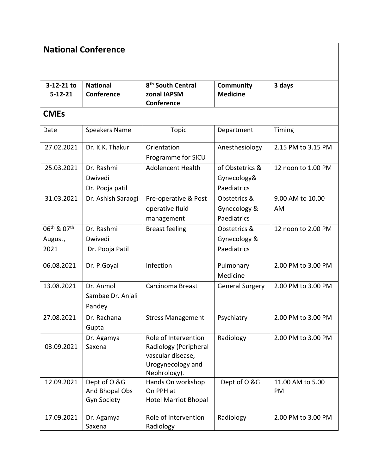| <b>National Conference</b>                             |                                                      |                                                                                                         |                                               |                        |  |  |  |
|--------------------------------------------------------|------------------------------------------------------|---------------------------------------------------------------------------------------------------------|-----------------------------------------------|------------------------|--|--|--|
| 3-12-21 to<br>$5 - 12 - 21$                            | <b>National</b><br>Conference                        | 8 <sup>th</sup> South Central<br>zonal IAPSM<br>Conference                                              | Community<br><b>Medicine</b>                  | 3 days                 |  |  |  |
| <b>CMEs</b>                                            |                                                      |                                                                                                         |                                               |                        |  |  |  |
| Date                                                   | <b>Speakers Name</b>                                 | <b>Topic</b>                                                                                            | Department                                    | Timing                 |  |  |  |
| 27.02.2021                                             | Dr. K.K. Thakur                                      | Orientation<br>Programme for SICU                                                                       | Anesthesiology                                | 2.15 PM to 3.15 PM     |  |  |  |
| 25.03.2021                                             | Dr. Rashmi<br>Dwivedi<br>Dr. Pooja patil             | <b>Adolencent Health</b>                                                                                | of Obstetrics &<br>Gynecology&<br>Paediatrics | 12 noon to 1.00 PM     |  |  |  |
| 31.03.2021                                             | Dr. Ashish Saraogi                                   | Pre-operative & Post<br>operative fluid<br>management                                                   | Obstetrics &<br>Gynecology &<br>Paediatrics   | 9.00 AM to 10.00<br>AM |  |  |  |
| 06 <sup>th</sup> & 07 <sup>th</sup><br>August,<br>2021 | Dr. Rashmi<br>Dwivedi<br>Dr. Pooja Patil             | <b>Breast feeling</b>                                                                                   | Obstetrics &<br>Gynecology &<br>Paediatrics   | 12 noon to 2.00 PM     |  |  |  |
| 06.08.2021                                             | Dr. P.Goyal                                          | Infection                                                                                               | Pulmonary<br>Medicine                         | 2.00 PM to 3.00 PM     |  |  |  |
| 13.08.2021                                             | Dr. Anmol<br>Sambae Dr. Anjali<br>Pandey             | Carcinoma Breast                                                                                        | <b>General Surgery</b>                        | 2.00 PM to 3.00 PM     |  |  |  |
| 27.08.2021                                             | Dr. Rachana<br>Gupta                                 | <b>Stress Management</b>                                                                                | Psychiatry                                    | 2.00 PM to 3.00 PM     |  |  |  |
| 03.09.2021                                             | Dr. Agamya<br>Saxena                                 | Role of Intervention<br>Radiology (Peripheral<br>vascular disease,<br>Urogynecology and<br>Nephrology). | Radiology                                     | 2.00 PM to 3.00 PM     |  |  |  |
| 12.09.2021                                             | Dept of O &G<br>And Bhopal Obs<br><b>Gyn Society</b> | Hands On workshop<br>On PPH at<br><b>Hotel Marriot Bhopal</b>                                           | Dept of O &G                                  | 11.00 AM to 5.00<br>PM |  |  |  |
| 17.09.2021                                             | Dr. Agamya<br>Saxena                                 | Role of Intervention<br>Radiology                                                                       | Radiology                                     | 2.00 PM to 3.00 PM     |  |  |  |